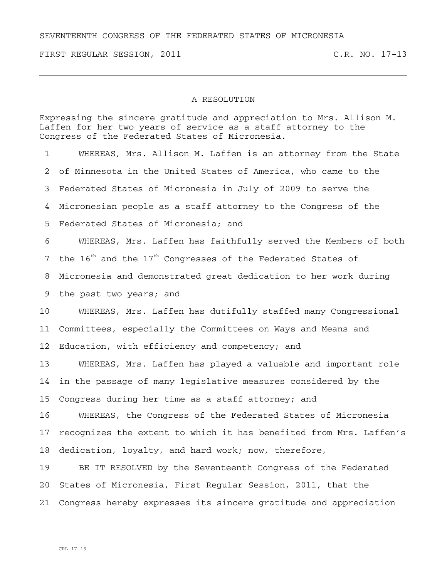## SEVENTEENTH CONGRESS OF THE FEDERATED STATES OF MICRONESIA

FIRST REGULAR SESSION, 2011 C.R. NO. 17-13

## A RESOLUTION

Expressing the sincere gratitude and appreciation to Mrs. Allison M. Laffen for her two years of service as a staff attorney to the Congress of the Federated States of Micronesia.

1 WHEREAS, Mrs. Allison M. Laffen is an attorney from the State 2 of Minnesota in the United States of America, who came to the 3 Federated States of Micronesia in July of 2009 to serve the 4 Micronesian people as a staff attorney to the Congress of the 5 Federated States of Micronesia; and 6 WHEREAS, Mrs. Laffen has faithfully served the Members of both 7 the  $16<sup>th</sup>$  and the  $17<sup>th</sup>$  Congresses of the Federated States of 8 Micronesia and demonstrated great dedication to her work during 9 the past two years; and 10 WHEREAS, Mrs. Laffen has dutifully staffed many Congressional 11 Committees, especially the Committees on Ways and Means and 12 Education, with efficiency and competency; and 13 WHEREAS, Mrs. Laffen has played a valuable and important role 14 in the passage of many legislative measures considered by the 15 Congress during her time as a staff attorney; and 16 WHEREAS, the Congress of the Federated States of Micronesia 17 recognizes the extent to which it has benefited from Mrs. Laffen's 18 dedication, loyalty, and hard work; now, therefore, 19 BE IT RESOLVED by the Seventeenth Congress of the Federated 20 States of Micronesia, First Regular Session, 2011, that the 21 Congress hereby expresses its sincere gratitude and appreciation